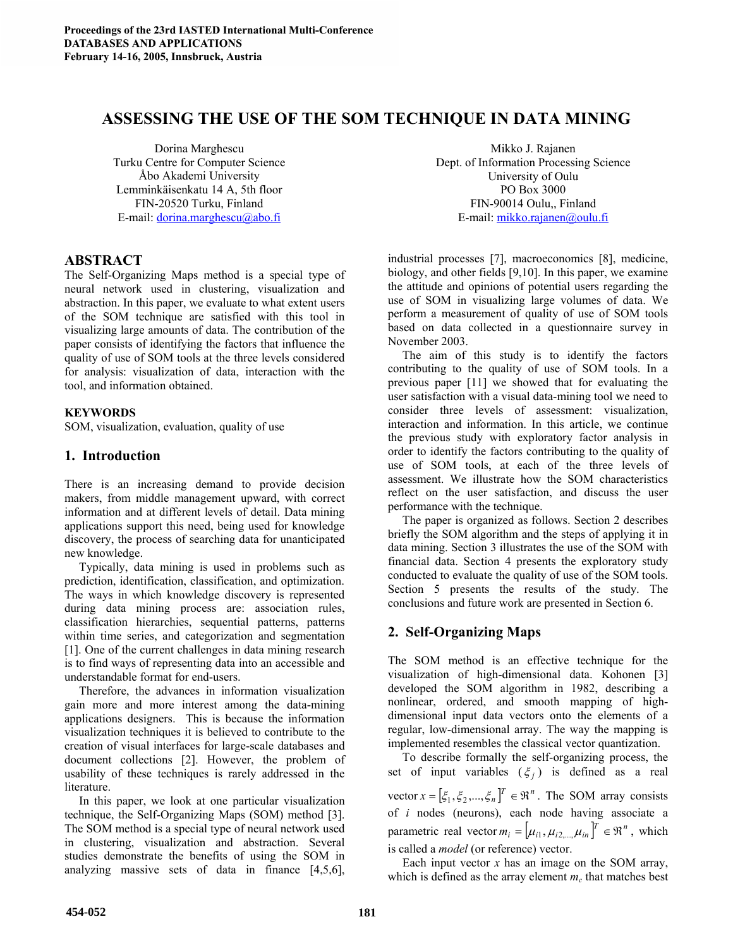# **ASSESSING THE USE OF THE SOM TECHNIQUE IN DATA MINING**

Dorina Marghescu Turku Centre for Computer Science Åbo Akademi University Lemminkäisenkatu 14 A, 5th floor FIN-20520 Turku, Finland E-mail: dorina.marghescu@abo.fi

# **ABSTRACT**

The Self-Organizing Maps method is a special type of neural network used in clustering, visualization and abstraction. In this paper, we evaluate to what extent users of the SOM technique are satisfied with this tool in visualizing large amounts of data. The contribution of the paper consists of identifying the factors that influence the quality of use of SOM tools at the three levels considered for analysis: visualization of data, interaction with the tool, and information obtained.

## **KEYWORDS**

SOM, visualization, evaluation, quality of use

# **1. Introduction**

There is an increasing demand to provide decision makers, from middle management upward, with correct information and at different levels of detail. Data mining applications support this need, being used for knowledge discovery, the process of searching data for unanticipated new knowledge.

Typically, data mining is used in problems such as prediction, identification, classification, and optimization. The ways in which knowledge discovery is represented during data mining process are: association rules, classification hierarchies, sequential patterns, patterns within time series, and categorization and segmentation [1]. One of the current challenges in data mining research is to find ways of representing data into an accessible and understandable format for end-users.

Therefore, the advances in information visualization gain more and more interest among the data-mining applications designers. This is because the information visualization techniques it is believed to contribute to the creation of visual interfaces for large-scale databases and document collections [2]. However, the problem of usability of these techniques is rarely addressed in the literature.

In this paper, we look at one particular visualization technique, the Self-Organizing Maps (SOM) method [3]. The SOM method is a special type of neural network used in clustering, visualization and abstraction. Several studies demonstrate the benefits of using the SOM in analyzing massive sets of data in finance [4,5,6],

Mikko J. Rajanen Dept. of Information Processing Science University of Oulu PO Box 3000 FIN-90014 Oulu,, Finland E-mail: mikko.rajanen@oulu.fi

industrial processes [7], macroeconomics [8], medicine, biology, and other fields [9,10]. In this paper, we examine the attitude and opinions of potential users regarding the use of SOM in visualizing large volumes of data. We perform a measurement of quality of use of SOM tools based on data collected in a questionnaire survey in November 2003.

The aim of this study is to identify the factors contributing to the quality of use of SOM tools. In a previous paper [11] we showed that for evaluating the user satisfaction with a visual data-mining tool we need to consider three levels of assessment: visualization, interaction and information. In this article, we continue the previous study with exploratory factor analysis in order to identify the factors contributing to the quality of use of SOM tools, at each of the three levels of assessment. We illustrate how the SOM characteristics reflect on the user satisfaction, and discuss the user performance with the technique.

The paper is organized as follows. Section 2 describes briefly the SOM algorithm and the steps of applying it in data mining. Section 3 illustrates the use of the SOM with financial data. Section 4 presents the exploratory study conducted to evaluate the quality of use of the SOM tools. Section 5 presents the results of the study. The conclusions and future work are presented in Section 6.

# **2. Self-Organizing Maps**

The SOM method is an effective technique for the visualization of high-dimensional data. Kohonen [3] developed the SOM algorithm in 1982, describing a nonlinear, ordered, and smooth mapping of highdimensional input data vectors onto the elements of a regular, low-dimensional array. The way the mapping is implemented resembles the classical vector quantization.

To describe formally the self-organizing process, the set of input variables  $(\xi_i)$  is defined as a real

vector  $x = [\xi_1, \xi_2, ..., \xi_n]^T \in \mathbb{R}^n$ . The SOM array consists of *i* nodes (neurons), each node having associate a parametric real vector  $m_i = [\mu_{i1}, \mu_{i2}, \mu_{in}]^T \in \mathbb{R}^n$ , which is called a *model* (or reference) vector.

Each input vector  $x$  has an image on the SOM array, which is defined as the array element  $m_c$  that matches best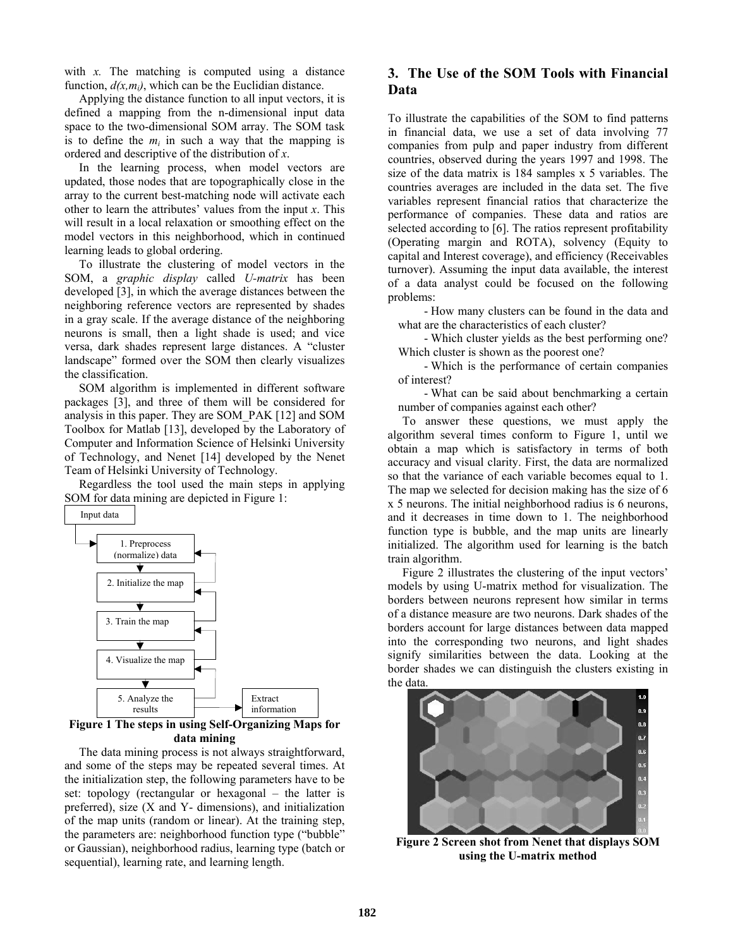with *x*. The matching is computed using a distance function,  $d(x, m_i)$ , which can be the Euclidian distance.

Applying the distance function to all input vectors, it is defined a mapping from the n-dimensional input data space to the two-dimensional SOM array. The SOM task is to define the  $m_i$  in such a way that the mapping is ordered and descriptive of the distribution of *x*.

In the learning process, when model vectors are updated, those nodes that are topographically close in the array to the current best-matching node will activate each other to learn the attributes' values from the input *x*. This will result in a local relaxation or smoothing effect on the model vectors in this neighborhood, which in continued learning leads to global ordering.

To illustrate the clustering of model vectors in the SOM, a *graphic display* called *U-matrix* has been developed [3], in which the average distances between the neighboring reference vectors are represented by shades in a gray scale. If the average distance of the neighboring neurons is small, then a light shade is used; and vice versa, dark shades represent large distances. A "cluster landscape" formed over the SOM then clearly visualizes the classification.

SOM algorithm is implemented in different software packages [3], and three of them will be considered for analysis in this paper. They are SOM\_PAK [12] and SOM Toolbox for Matlab [13], developed by the Laboratory of Computer and Information Science of Helsinki University of Technology, and Nenet [14] developed by the Nenet Team of Helsinki University of Technology.

Regardless the tool used the main steps in applying SOM for data mining are depicted in Figure 1:



## **Figure 1 The steps in using Self-Organizing Maps for data mining**

The data mining process is not always straightforward, and some of the steps may be repeated several times. At the initialization step, the following parameters have to be set: topology (rectangular or hexagonal – the latter is preferred), size (X and Y- dimensions), and initialization of the map units (random or linear). At the training step, the parameters are: neighborhood function type ("bubble" or Gaussian), neighborhood radius, learning type (batch or sequential), learning rate, and learning length.

# **3. The Use of the SOM Tools with Financial Data**

To illustrate the capabilities of the SOM to find patterns in financial data, we use a set of data involving 77 companies from pulp and paper industry from different countries, observed during the years 1997 and 1998. The size of the data matrix is 184 samples x 5 variables. The countries averages are included in the data set. The five variables represent financial ratios that characterize the performance of companies. These data and ratios are selected according to [6]. The ratios represent profitability (Operating margin and ROTA), solvency (Equity to capital and Interest coverage), and efficiency (Receivables turnover). Assuming the input data available, the interest of a data analyst could be focused on the following problems:

- How many clusters can be found in the data and what are the characteristics of each cluster?

- Which cluster yields as the best performing one? Which cluster is shown as the poorest one?

- Which is the performance of certain companies of interest?

- What can be said about benchmarking a certain number of companies against each other?

To answer these questions, we must apply the algorithm several times conform to Figure 1, until we obtain a map which is satisfactory in terms of both accuracy and visual clarity. First, the data are normalized so that the variance of each variable becomes equal to 1. The map we selected for decision making has the size of 6 x 5 neurons. The initial neighborhood radius is 6 neurons, and it decreases in time down to 1. The neighborhood function type is bubble, and the map units are linearly initialized. The algorithm used for learning is the batch train algorithm.

Figure 2 illustrates the clustering of the input vectors' models by using U-matrix method for visualization. The borders between neurons represent how similar in terms of a distance measure are two neurons. Dark shades of the borders account for large distances between data mapped into the corresponding two neurons, and light shades signify similarities between the data. Looking at the border shades we can distinguish the clusters existing in the data.



**Figure 2 Screen shot from Nenet that displays SOM using the U-matrix method**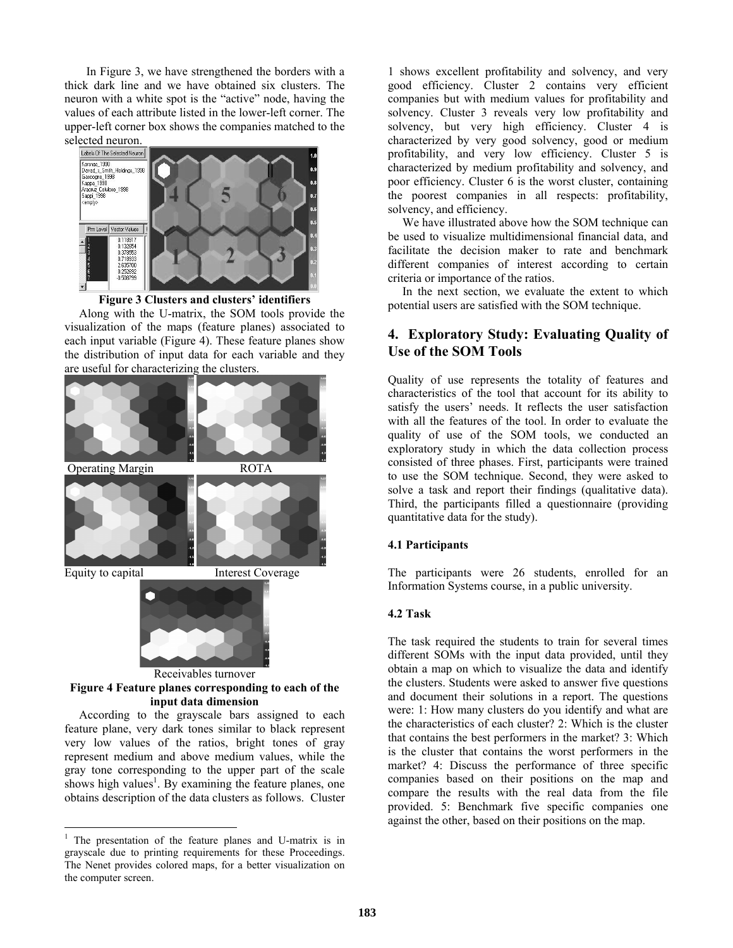In Figure 3, we have strengthened the borders with a thick dark line and we have obtained six clusters. The neuron with a white spot is the "active" node, having the values of each attribute listed in the lower-left corner. The upper-left corner box shows the companies matched to the





Along with the U-matrix, the SOM tools provide the visualization of the maps (feature planes) associated to each input variable (Figure 4). These feature planes show the distribution of input data for each variable and they are useful for characterizing the clusters.



feature plane, very dark tones similar to black represent very low values of the ratios, bright tones of gray represent medium and above medium values, while the gray tone corresponding to the upper part of the scale shows high values<sup>1</sup>. By examining the feature planes, one obtains description of the data clusters as follows. Cluster

 $\overline{a}$ 

1 shows excellent profitability and solvency, and very good efficiency. Cluster 2 contains very efficient companies but with medium values for profitability and solvency. Cluster 3 reveals very low profitability and solvency, but very high efficiency. Cluster 4 is characterized by very good solvency, good or medium profitability, and very low efficiency. Cluster 5 is characterized by medium profitability and solvency, and poor efficiency. Cluster 6 is the worst cluster, containing the poorest companies in all respects: profitability, solvency, and efficiency.

We have illustrated above how the SOM technique can be used to visualize multidimensional financial data, and facilitate the decision maker to rate and benchmark different companies of interest according to certain criteria or importance of the ratios.

In the next section, we evaluate the extent to which potential users are satisfied with the SOM technique.

# **4. Exploratory Study: Evaluating Quality of Use of the SOM Tools**

Quality of use represents the totality of features and characteristics of the tool that account for its ability to satisfy the users' needs. It reflects the user satisfaction with all the features of the tool. In order to evaluate the quality of use of the SOM tools, we conducted an exploratory study in which the data collection process consisted of three phases. First, participants were trained to use the SOM technique. Second, they were asked to solve a task and report their findings (qualitative data). Third, the participants filled a questionnaire (providing quantitative data for the study).

### **4.1 Participants**

The participants were 26 students, enrolled for an Information Systems course, in a public university.

#### **4.2 Task**

The task required the students to train for several times different SOMs with the input data provided, until they obtain a map on which to visualize the data and identify the clusters. Students were asked to answer five questions and document their solutions in a report. The questions were: 1: How many clusters do you identify and what are the characteristics of each cluster? 2: Which is the cluster that contains the best performers in the market? 3: Which is the cluster that contains the worst performers in the market? 4: Discuss the performance of three specific companies based on their positions on the map and compare the results with the real data from the file provided. 5: Benchmark five specific companies one against the other, based on their positions on the map.

<sup>&</sup>lt;sup>1</sup> The presentation of the feature planes and U-matrix is in grayscale due to printing requirements for these Proceedings. The Nenet provides colored maps, for a better visualization on the computer screen.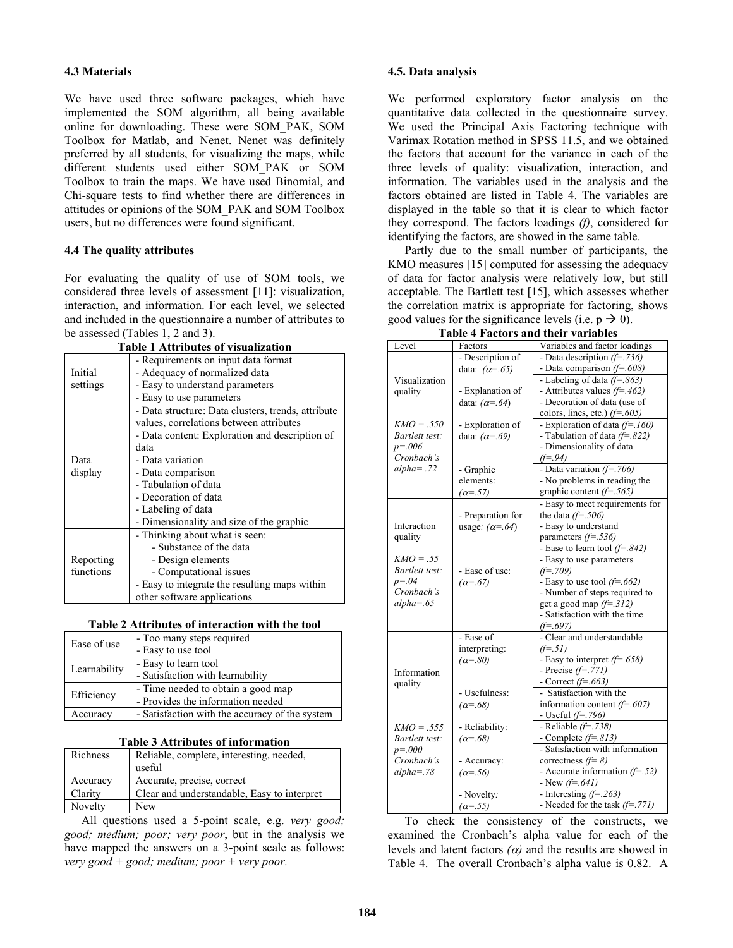#### **4.3 Materials**

We have used three software packages, which have implemented the SOM algorithm, all being available online for downloading. These were SOM\_PAK, SOM Toolbox for Matlab, and Nenet. Nenet was definitely preferred by all students, for visualizing the maps, while different students used either SOM\_PAK or SOM Toolbox to train the maps. We have used Binomial, and Chi-square tests to find whether there are differences in attitudes or opinions of the SOM\_PAK and SOM Toolbox users, but no differences were found significant.

#### **4.4 The quality attributes**

For evaluating the quality of use of SOM tools, we considered three levels of assessment [11]: visualization, interaction, and information. For each level, we selected and included in the questionnaire a number of attributes to be assessed (Tables 1, 2 and 3).

| <b>Table 1 Attributes of visualization</b> |                                                    |  |  |  |
|--------------------------------------------|----------------------------------------------------|--|--|--|
|                                            | - Requirements on input data format                |  |  |  |
| Initial                                    | - Adequacy of normalized data                      |  |  |  |
| settings                                   | - Easy to understand parameters                    |  |  |  |
|                                            | - Easy to use parameters                           |  |  |  |
|                                            | - Data structure: Data clusters, trends, attribute |  |  |  |
|                                            | values, correlations between attributes            |  |  |  |
|                                            | - Data content: Exploration and description of     |  |  |  |
|                                            | data                                               |  |  |  |
| Data                                       | - Data variation                                   |  |  |  |
| display                                    | - Data comparison                                  |  |  |  |
|                                            | - Tabulation of data                               |  |  |  |
|                                            | - Decoration of data                               |  |  |  |
|                                            | - Labeling of data                                 |  |  |  |
|                                            | - Dimensionality and size of the graphic           |  |  |  |
|                                            | - Thinking about what is seen:                     |  |  |  |
|                                            | - Substance of the data                            |  |  |  |
| Reporting                                  | - Design elements                                  |  |  |  |
| functions                                  | - Computational issues                             |  |  |  |
|                                            | - Easy to integrate the resulting maps within      |  |  |  |
|                                            | other software applications                        |  |  |  |

**Table 2 Attributes of interaction with the tool** 

| Ease of use  | - Too many steps required                      |  |
|--------------|------------------------------------------------|--|
|              | - Easy to use tool                             |  |
| Learnability | - Easy to learn tool                           |  |
|              | - Satisfaction with learnability               |  |
| Efficiency   | - Time needed to obtain a good map             |  |
|              | - Provides the information needed              |  |
| Accuracy     | - Satisfaction with the accuracy of the system |  |

**Table 3 Attributes of information** 

| Richness | Reliable, complete, interesting, needed,    |  |
|----------|---------------------------------------------|--|
|          | useful                                      |  |
| Accuracy | Accurate, precise, correct                  |  |
| Clarity  | Clear and understandable, Easy to interpret |  |
| Novelty  | New                                         |  |

All questions used a 5-point scale, e.g. *very good; good; medium; poor; very poor*, but in the analysis we have mapped the answers on a 3-point scale as follows: *very good + good; medium; poor + very poor.* 

#### **4.5. Data analysis**

We performed exploratory factor analysis on the quantitative data collected in the questionnaire survey. We used the Principal Axis Factoring technique with Varimax Rotation method in SPSS 11.5, and we obtained the factors that account for the variance in each of the three levels of quality: visualization, interaction, and information. The variables used in the analysis and the factors obtained are listed in Table 4. The variables are displayed in the table so that it is clear to which factor they correspond. The factors loadings *(f)*, considered for identifying the factors, are showed in the same table.

Partly due to the small number of participants, the KMO measures [15] computed for assessing the adequacy of data for factor analysis were relatively low, but still acceptable. The Bartlett test [15], which assesses whether the correlation matrix is appropriate for factoring, shows good values for the significance levels (i.e.  $p \rightarrow 0$ ).

|                |                         | l able 4 Factors and their variables |
|----------------|-------------------------|--------------------------------------|
| Level          | Factors                 | Variables and factor loadings        |
|                | - Description of        | - Data description $(f=.736)$        |
|                | data: $(\alpha = .65)$  | - Data comparison $(f=.608)$         |
| Visualization  |                         | - Labeling of data $(f=.863)$        |
| quality        | - Explanation of        | - Attributes values $(f=.462)$       |
|                | data: $(\alpha = .64)$  | - Decoration of data (use of         |
|                |                         | colors, lines, etc.) $(f=.605)$      |
| $KMO = .550$   | - Exploration of        | - Exploration of data $(f=.160)$     |
| Bartlett test: | data: $(\alpha = .69)$  | - Tabulation of data $(f=.822)$      |
| $p = 0.006$    |                         | - Dimensionality of data             |
| Cronbach's     |                         | $(f=0.94)$                           |
| $alpha = .72$  | - Graphic               | - Data variation $(f=.706)$          |
|                | elements:               | - No problems in reading the         |
|                | $(\alpha = .57)$        | graphic content $(f=.565)$           |
|                |                         | - Easy to meet requirements for      |
|                | - Preparation for       | the data $(f=.506)$                  |
| Interaction    | usage: $(\alpha = .64)$ | - Easy to understand                 |
| quality        |                         | parameters $(f=.536)$                |
|                |                         | - Ease to learn tool $(f=.842)$      |
| $KMO = .55$    |                         | - Easy to use parameters             |
| Bartlett test: | - Ease of use:          | $(f=.709)$                           |
| $p = 0.04$     | $(\alpha = .67)$        | - Easy to use tool $(f=.662)$        |
| Cronbach's     |                         | - Number of steps required to        |
| $alpha=.65$    |                         | get a good map $(f=.312)$            |
|                |                         | - Satisfaction with the time         |
|                |                         | $(f=.697)$                           |
|                | - Ease of               | - Clear and understandable           |
|                | interpreting:           | $(f=.51)$                            |
|                | $(\alpha = 80)$         | - Easy to interpret $(f=.658)$       |
| Information    |                         | - Precise $(f=.771)$                 |
| quality        |                         | - Correct $(f=.663)$                 |
|                | - Usefulness:           | - Satisfaction with the              |
|                | $(\alpha = .68)$        | information content $(f=.607)$       |
|                |                         | - Useful $(f=796)$                   |
| $KMO = .555$   | - Reliability:          | - Reliable $(f=.738)$                |
| Bartlett test: | $(\alpha = .68)$        | - Complete $(f=.813)$                |
| $p = 0.000$    |                         | - Satisfaction with information      |
| Cronbach's     | - Accuracy:             | correctness $(f=.8)$                 |
| $alpha = 78$   | $(\alpha = .56)$        | - Accurate information $(f=.52)$     |
|                |                         | - New $(f=.641)$                     |
|                | - Novelty:              | - Interesting $(f=.263)$             |
|                | $(\alpha = .55)$        | - Needed for the task $(f=.771)$     |

**Table 4 Factors and their variables** 

To check the consistency of the constructs, we examined the Cronbach's alpha value for each of the levels and latent factors *(*α*)* and the results are showed in Table 4. The overall Cronbach's alpha value is 0.82. A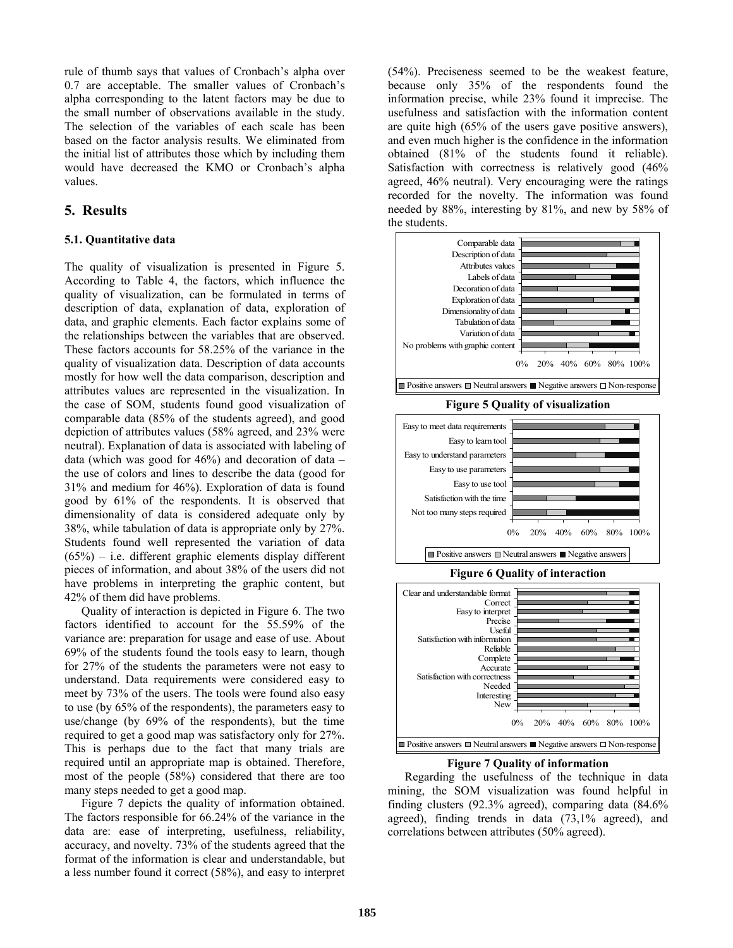rule of thumb says that values of Cronbach's alpha over 0.7 are acceptable. The smaller values of Cronbach's alpha corresponding to the latent factors may be due to the small number of observations available in the study. The selection of the variables of each scale has been based on the factor analysis results. We eliminated from the initial list of attributes those which by including them would have decreased the KMO or Cronbach's alpha values.

### **5. Results**

#### **5.1. Quantitative data**

The quality of visualization is presented in Figure 5. According to Table 4, the factors, which influence the quality of visualization, can be formulated in terms of description of data, explanation of data, exploration of data, and graphic elements. Each factor explains some of the relationships between the variables that are observed. These factors accounts for 58.25% of the variance in the quality of visualization data. Description of data accounts mostly for how well the data comparison, description and attributes values are represented in the visualization. In the case of SOM, students found good visualization of comparable data (85% of the students agreed), and good depiction of attributes values (58% agreed, and 23% were neutral). Explanation of data is associated with labeling of data (which was good for  $46\%$ ) and decoration of data – the use of colors and lines to describe the data (good for 31% and medium for 46%). Exploration of data is found good by 61% of the respondents. It is observed that dimensionality of data is considered adequate only by 38%, while tabulation of data is appropriate only by 27%. Students found well represented the variation of data  $(65%)$  – i.e. different graphic elements display different pieces of information, and about 38% of the users did not have problems in interpreting the graphic content, but 42% of them did have problems.

Quality of interaction is depicted in Figure 6. The two factors identified to account for the 55.59% of the variance are: preparation for usage and ease of use. About 69% of the students found the tools easy to learn, though for 27% of the students the parameters were not easy to understand. Data requirements were considered easy to meet by 73% of the users. The tools were found also easy to use (by 65% of the respondents), the parameters easy to use/change (by 69% of the respondents), but the time required to get a good map was satisfactory only for 27%. This is perhaps due to the fact that many trials are required until an appropriate map is obtained. Therefore, most of the people (58%) considered that there are too many steps needed to get a good map.

Figure 7 depicts the quality of information obtained. The factors responsible for 66.24% of the variance in the data are: ease of interpreting, usefulness, reliability, accuracy, and novelty. 73% of the students agreed that the format of the information is clear and understandable, but a less number found it correct (58%), and easy to interpret (54%). Preciseness seemed to be the weakest feature, because only 35% of the respondents found the information precise, while 23% found it imprecise. The usefulness and satisfaction with the information content are quite high (65% of the users gave positive answers), and even much higher is the confidence in the information obtained (81% of the students found it reliable). Satisfaction with correctness is relatively good  $(46\%$ agreed, 46% neutral). Very encouraging were the ratings recorded for the novelty. The information was found needed by 88%, interesting by 81%, and new by 58% of the students.



**Figure 5 Quality of visualization** 





#### **Figure 7 Quality of information**

Regarding the usefulness of the technique in data mining, the SOM visualization was found helpful in finding clusters (92.3% agreed), comparing data (84.6% agreed), finding trends in data (73,1% agreed), and correlations between attributes (50% agreed).